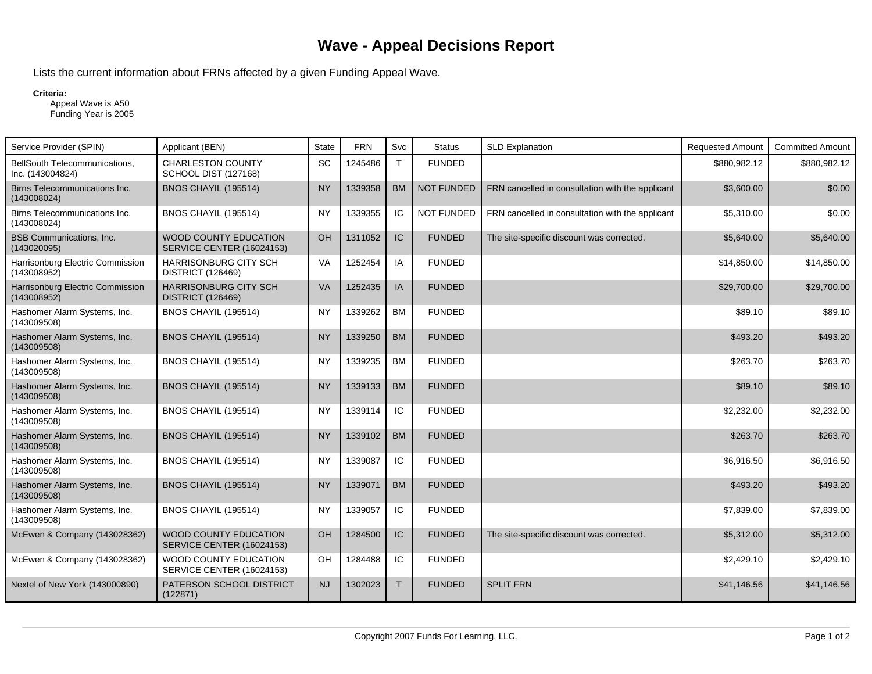## **Wave - Appeal Decisions Report**

Lists the current information about FRNs affected by a given Funding Appeal Wave.

## **Criteria:**

 Appeal Wave is A50 Funding Year is 2005

| Service Provider (SPIN)                           | Applicant (BEN)                                           | <b>State</b> | <b>FRN</b> | <b>Svc</b>   | <b>Status</b>     | <b>SLD Explanation</b>                           | <b>Requested Amount</b> | <b>Committed Amount</b> |
|---------------------------------------------------|-----------------------------------------------------------|--------------|------------|--------------|-------------------|--------------------------------------------------|-------------------------|-------------------------|
| BellSouth Telecommunications,<br>Inc. (143004824) | <b>CHARLESTON COUNTY</b><br>SCHOOL DIST (127168)          | SC           | 1245486    | $\mathsf{T}$ | <b>FUNDED</b>     |                                                  | \$880,982.12            | \$880,982.12            |
| Birns Telecommunications Inc.<br>(143008024)      | <b>BNOS CHAYIL (195514)</b>                               | <b>NY</b>    | 1339358    | <b>BM</b>    | <b>NOT FUNDED</b> | FRN cancelled in consultation with the applicant | \$3,600.00              | \$0.00                  |
| Birns Telecommunications Inc.<br>(143008024)      | BNOS CHAYIL (195514)                                      | <b>NY</b>    | 1339355    | IC           | <b>NOT FUNDED</b> | FRN cancelled in consultation with the applicant | \$5,310.00              | \$0.00                  |
| <b>BSB Communications, Inc.</b><br>(143020095)    | <b>WOOD COUNTY EDUCATION</b><br>SERVICE CENTER (16024153) | OH           | 1311052    | IC           | <b>FUNDED</b>     | The site-specific discount was corrected.        | \$5,640.00              | \$5,640.00              |
| Harrisonburg Electric Commission<br>(143008952)   | <b>HARRISONBURG CITY SCH</b><br><b>DISTRICT (126469)</b>  | VA           | 1252454    | IA           | <b>FUNDED</b>     |                                                  | \$14,850.00             | \$14,850.00             |
| Harrisonburg Electric Commission<br>(143008952)   | <b>HARRISONBURG CITY SCH</b><br><b>DISTRICT (126469)</b>  | <b>VA</b>    | 1252435    | IA           | <b>FUNDED</b>     |                                                  | \$29,700.00             | \$29,700.00             |
| Hashomer Alarm Systems, Inc.<br>(143009508)       | <b>BNOS CHAYIL (195514)</b>                               | <b>NY</b>    | 1339262    | <b>BM</b>    | <b>FUNDED</b>     |                                                  | \$89.10                 | \$89.10                 |
| Hashomer Alarm Systems, Inc.<br>(143009508)       | <b>BNOS CHAYIL (195514)</b>                               | <b>NY</b>    | 1339250    | <b>BM</b>    | <b>FUNDED</b>     |                                                  | \$493.20                | \$493.20                |
| Hashomer Alarm Systems, Inc.<br>(143009508)       | <b>BNOS CHAYIL (195514)</b>                               | <b>NY</b>    | 1339235    | <b>BM</b>    | <b>FUNDED</b>     |                                                  | \$263.70                | \$263.70                |
| Hashomer Alarm Systems, Inc.<br>(143009508)       | BNOS CHAYIL (195514)                                      | <b>NY</b>    | 1339133    | <b>BM</b>    | <b>FUNDED</b>     |                                                  | \$89.10                 | \$89.10                 |
| Hashomer Alarm Systems, Inc.<br>(143009508)       | <b>BNOS CHAYIL (195514)</b>                               | <b>NY</b>    | 1339114    | IC           | <b>FUNDED</b>     |                                                  | \$2,232.00              | \$2,232.00              |
| Hashomer Alarm Systems, Inc.<br>(143009508)       | BNOS CHAYIL (195514)                                      | <b>NY</b>    | 1339102    | <b>BM</b>    | <b>FUNDED</b>     |                                                  | \$263.70                | \$263.70                |
| Hashomer Alarm Systems, Inc.<br>(143009508)       | BNOS CHAYIL (195514)                                      | <b>NY</b>    | 1339087    | IC           | <b>FUNDED</b>     |                                                  | \$6,916.50              | \$6,916.50              |
| Hashomer Alarm Systems, Inc.<br>(143009508)       | BNOS CHAYIL (195514)                                      | <b>NY</b>    | 1339071    | <b>BM</b>    | <b>FUNDED</b>     |                                                  | \$493.20                | \$493.20                |
| Hashomer Alarm Systems, Inc.<br>(143009508)       | BNOS CHAYIL (195514)                                      | <b>NY</b>    | 1339057    | IC           | <b>FUNDED</b>     |                                                  | \$7,839.00              | \$7,839.00              |
| McEwen & Company (143028362)                      | <b>WOOD COUNTY EDUCATION</b><br>SERVICE CENTER (16024153) | OH           | 1284500    | IC           | <b>FUNDED</b>     | The site-specific discount was corrected.        | \$5,312.00              | \$5,312.00              |
| McEwen & Company (143028362)                      | WOOD COUNTY EDUCATION<br>SERVICE CENTER (16024153)        | OH           | 1284488    | IC           | <b>FUNDED</b>     |                                                  | \$2,429.10              | \$2,429.10              |
| Nextel of New York (143000890)                    | PATERSON SCHOOL DISTRICT<br>(122871)                      | <b>NJ</b>    | 1302023    | $\mathsf{T}$ | <b>FUNDED</b>     | <b>SPLIT FRN</b>                                 | \$41,146.56             | \$41,146.56             |